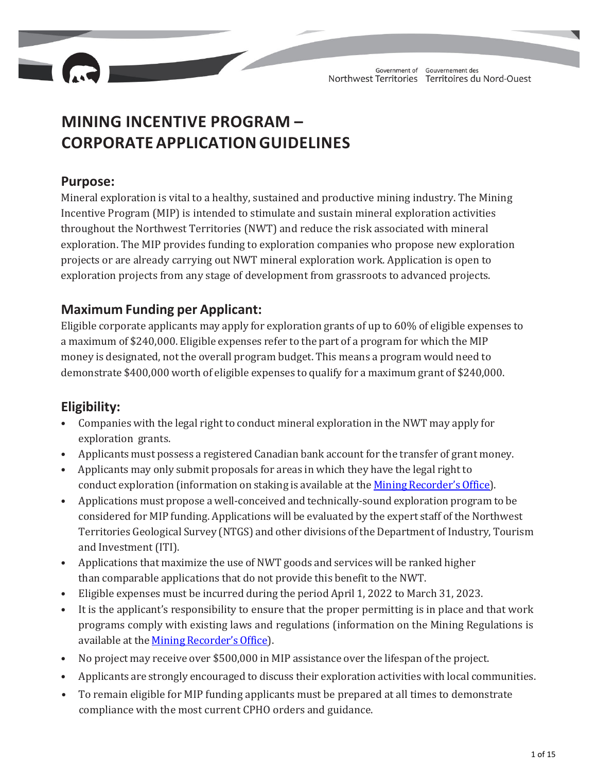

# **MINING INCENTIVE PROGRAM – CORPORATEAPPLICATIONGUIDELINES**

# **Purpose:**

Mineral exploration is vital to a healthy, sustained and productive mining industry. The Mining Incentive Program (MIP) is intended to stimulate and sustain mineral exploration activities throughout the Northwest Territories (NWT) and reduce the risk associated with mineral exploration. The MIP provides funding to exploration companies who propose new exploration projects or are already carrying out NWT mineral exploration work. Application is open to exploration projects from any stage of development from grassroots to advanced projects.

# **Maximum Funding per Applicant:**

Eligible corporate applicants may apply for exploration grants of up to 60% of eligible expenses to a maximum of \$240,000. Eligible expenses refer to the part of a program for which the MIP money is designated, not the overall program budget. This means a program would need to demonstrate \$400,000 worth of eligible expenses to qualify for a maximum grant of \$240,000.

# **Eligibility:**

- Companies with the legal right to conduct mineral exploration in the NWT may apply for exploration grants.
- Applicants must possess a registered Canadian bank account for the transfer of grant money.
- Applicants may only submit proposals for areas in which they have the legal right to conduct exploration (information on staking is available at the Mining Recorder's Office).
- Applications must propose a well-conceived and technically-sound exploration program to be considered for MIP funding. Applications will be evaluated by the expert staff of the Northwest Territories Geological Survey (NTGS) and other divisions of the Department of Industry, Tourism and Investment (ITI).
- Applications that maximize the use of NWT goods and services will be ranked higher than comparable applications that do not provide this benefit to the NWT.
- Eligible expenses must be incurred during the period April 1, 2022 to March 31, 2023.
- It is the applicant's responsibility to ensure that the proper permitting is in place and that work programs comply with existing laws and regulations (information on the Mining Regulations is available at the Mining Recorder's Office).
- No project may receive over \$500,000 in MIP assistance over the lifespan of the project.
- Applicants are strongly encouraged to discuss their exploration activities with local communities.
- To remain eligible for MIP funding applicants must be prepared at all times to demonstrate compliance with the most current CPHO orders and guidance.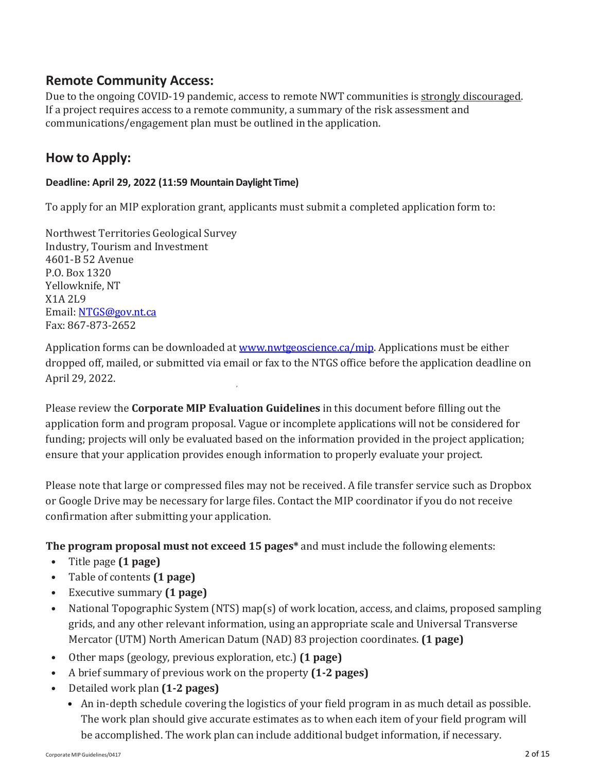# **Remote Community Access:**

Due to the ongoing COVID-19 pandemic, access to remote NWT communities is strongly discouraged. If a project requires access to a remote community, a summary of the risk assessment and communications/engagement plan must be outlined in the application.

# **How to Apply:**

### **Deadline: April 29, 2022 (11:59 MountainDaylight Time)**

To apply for an MIP exploration grant, applicants must submit a completed application form to:

Northwest Territories Geological Survey Industry, Tourism and Investment 4601-B 52 Avenue P.O. Box 1320 Yellowknife, NT X1A 2L9 Email: NTGS@gov.nt.ca Fax: 867-873-2652

Application forms can be downloaded at www.nwtgeoscience.ca/mip. Applications must be either dropped off, mailed, or submitted via email or fax to the NTGS office before the application deadline on April 29, 2022.

Please review the **Corporate MIP Evaluation Guidelines** in this document before filling out the application form and program proposal. Vague or incomplete applications will not be considered for funding; projects will only be evaluated based on the information provided in the project application; ensure that your application provides enough information to properly evaluate your project.

Please note that large or compressed files may not be received. A file transfer service such as Dropbox or Google Drive may be necessary for large files. Contact the MIP coordinator if you do not receive confirmation after submitting your application.

**The program proposal must not exceed 15 pages\*** and must include the following elements:

- Title page **(1 page)**
- Table of contents **(1 page)**
- Executive summary **(1 page)**
- National Topographic System (NTS) map(s) of work location, access, and claims, proposed sampling grids, and any other relevant information, using an appropriate scale and Universal Transverse Mercator (UTM) North American Datum (NAD) 83 projection coordinates. **(1 page)**
- Other maps (geology, previous exploration, etc.) **(1 page)**
- A brief summary of previous work on the property **(1‐2 pages)**
- Detailed work plan **(1‐2 pages)**
	- An in-depth schedule covering the logistics of your field program in as much detail as possible. The work plan should give accurate estimates as to when each item of your field program will be accomplished. The work plan can include additional budget information, if necessary.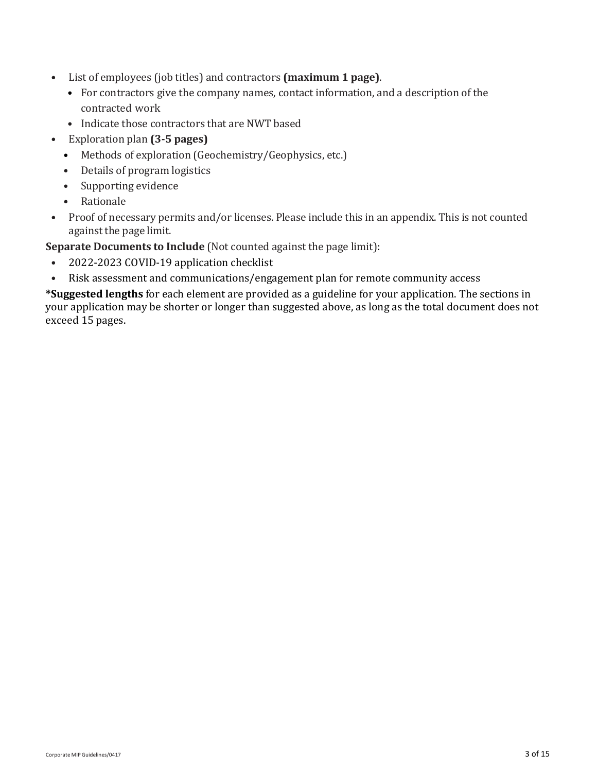- List of employees (job titles) and contractors **(maximum 1 page)**.
	- For contractors give the company names, contact information, and a description of the contracted work
	- Indicate those contractors that are NWT based
- Exploration plan **(3‐5 pages)**
	- Methods of exploration (Geochemistry/Geophysics, etc.)
	- Details of program logistics
	- Supporting evidence
	- Rationale
- Proof of necessary permits and/or licenses. Please include this in an appendix. This is not counted against the page limit.

**Separate Documents to Include** (Not counted against the page limit):

- 2022-2023 COVID-19 application checklist
- Risk assessment and communications/engagement plan for remote community access

**\*Suggested lengths** for each element are provided as a guideline for your application. The sections in your application may be shorter or longer than suggested above, as long as the total document does not exceed 15 pages.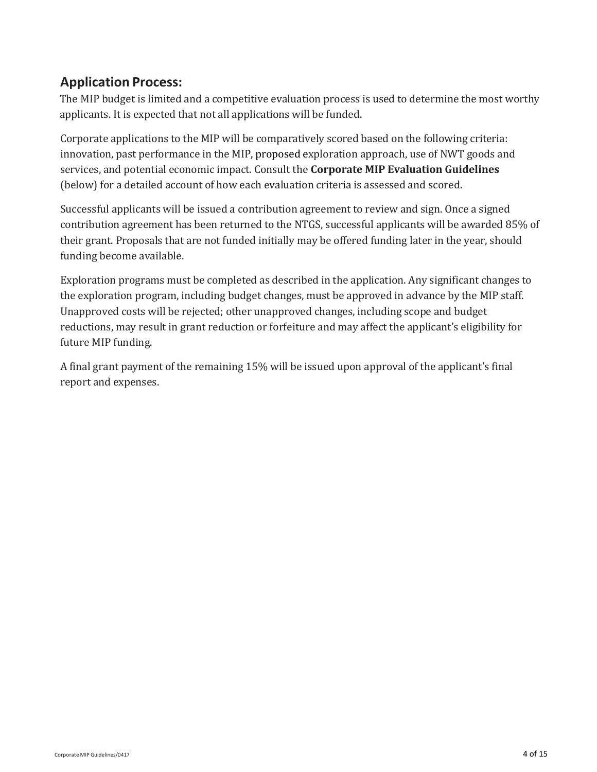# **Application Process:**

The MIP budget is limited and a competitive evaluation process is used to determine the most worthy applicants. It is expected that not all applications will be funded.

Corporate applications to the MIP will be comparatively scored based on the following criteria: innovation, past performance in the MIP, proposed exploration approach, use of NWT goods and services, and potential economic impact. Consult the **Corporate MIP Evaluation Guidelines** (below) for a detailed account of how each evaluation criteria is assessed and scored.

Successful applicants will be issued a contribution agreement to review and sign. Once a signed contribution agreement has been returned to the NTGS, successful applicants will be awarded 85% of their grant. Proposals that are not funded initially may be offered funding later in the year, should funding become available.

Exploration programs must be completed as described in the application. Any significant changes to the exploration program, including budget changes, must be approved in advance by the MIP staff. Unapproved costs will be rejected; other unapproved changes, including scope and budget reductions, may result in grant reduction or forfeiture and may affect the applicant's eligibility for future MIP funding.

A final grant payment of the remaining 15% will be issued upon approval of the applicant's final report and expenses.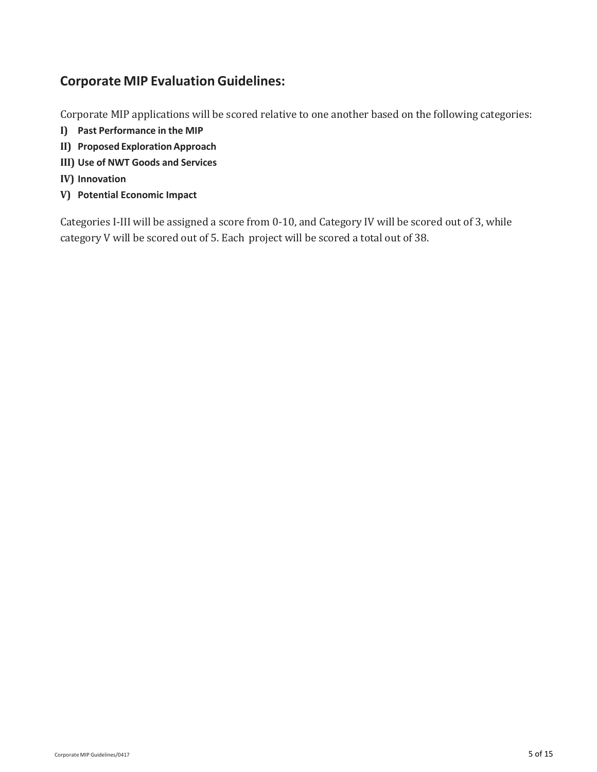# **Corporate MIP Evaluation Guidelines:**

Corporate MIP applications will be scored relative to one another based on the following categories:

- **I) Past Performance in the MIP**
- **II) Proposed ExplorationApproach**
- **III) Use of NWT Goods and Services**
- **IV) Innovation**
- **V) Potential Economic Impact**

Categories I-III will be assigned a score from 0-10, and Category IV will be scored out of 3, while category V will be scored out of 5. Each project will be scored a total out of 38.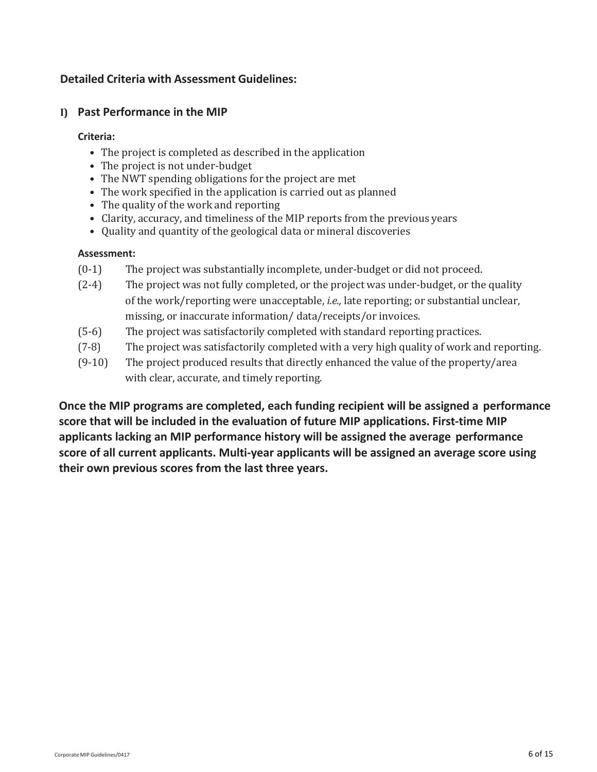### **Detailed Criteria with Assessment Guidelines:**

### **I) Past Performance in the MIP**

#### **Criteria:**

- The project is completed as described in the application
- The project is not under-budget
- The NWT spending obligations for the project are met
- The work specified in the application is carried out as planned
- The quality of the work and reporting
- Clarity, accuracy, and timeliness of the MIP reports from the previous years
- Quality and quantity of the geological data or mineral discoveries

#### **Assessment:**

- (0-1) The project was substantially incomplete, under-budget or did not proceed.
- (2-4) The project was not fully completed, or the project was under-budget, or the quality of the work/reporting were unacceptable, *i.e.,* late reporting; or substantial unclear, missing, or inaccurate information/ data/receipts/or invoices.
- (5-6) The project was satisfactorily completed with standard reporting practices.
- (7-8) The project was satisfactorily completed with a very high quality of work and reporting.
- (9-10) The project produced results that directly enhanced the value of the property/area with clear, accurate, and timely reporting.

**Once the MIP programs are completed, each funding recipient will be assigned a performance score that will be included in the evaluation of future MIP applications. First‐time MIP applicants lacking an MIP performance history will be assigned the average performance score of all current applicants. Multi‐year applicants will be assigned an average score using their own previous scores from the last three years.**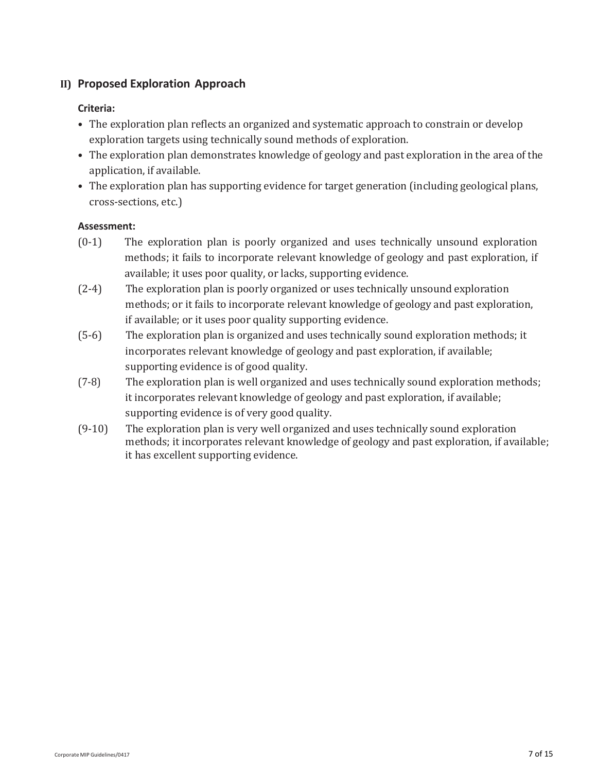### **II) Proposed Exploration Approach**

#### **Criteria:**

- The exploration plan reflects an organized and systematic approach to constrain or develop exploration targets using technically sound methods of exploration.
- The exploration plan demonstrates knowledge of geology and past exploration in the area of the application, if available.
- The exploration plan has supporting evidence for target generation (including geological plans, cross-sections, etc.)

- (0-1) The exploration plan is poorly organized and uses technically unsound exploration methods; it fails to incorporate relevant knowledge of geology and past exploration, if available; it uses poor quality, or lacks, supporting evidence.
- (2-4) The exploration plan is poorly organized or uses technically unsound exploration methods; or it fails to incorporate relevant knowledge of geology and past exploration, if available; or it uses poor quality supporting evidence.
- (5-6) The exploration plan is organized and uses technically sound exploration methods; it incorporates relevant knowledge of geology and past exploration, if available; supporting evidence is of good quality.
- (7-8) The exploration plan is well organized and uses technically sound exploration methods; it incorporates relevant knowledge of geology and past exploration, if available; supporting evidence is of very good quality.
- (9-10) The exploration plan is very well organized and uses technically sound exploration methods; it incorporates relevant knowledge of geology and past exploration, if available; it has excellent supporting evidence.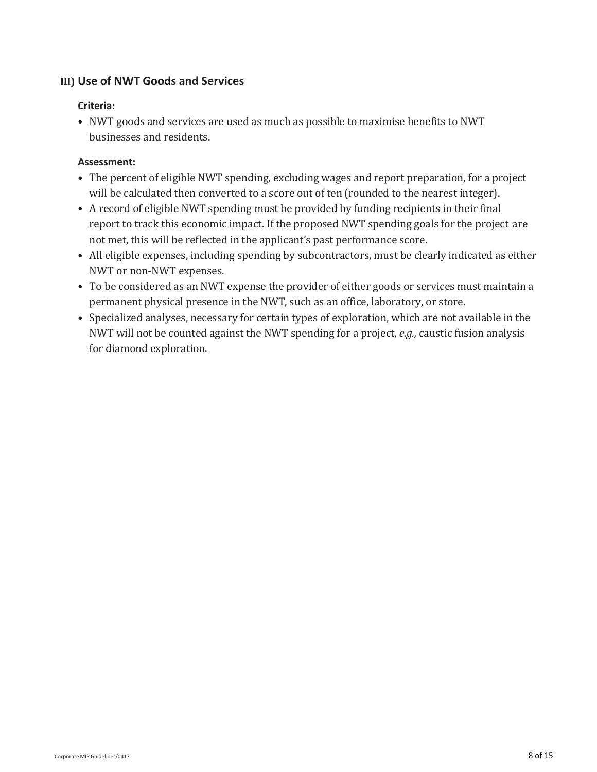### **III) Use of NWT Goods and Services**

### **Criteria:**

• NWT goods and services are used as much as possible to maximise benefits to NWT businesses and residents.

- The percent of eligible NWT spending, excluding wages and report preparation, for a project will be calculated then converted to a score out of ten (rounded to the nearest integer).
- A record of eligible NWT spending must be provided by funding recipients in their final report to track this economic impact. If the proposed NWT spending goals for the project are not met, this will be reflected in the applicant's past performance score.
- All eligible expenses, including spending by subcontractors, must be clearly indicated as either NWT or non-NWT expenses.
- To be considered as an NWT expense the provider of either goods or services must maintain a permanent physical presence in the NWT, such as an office, laboratory, or store.
- Specialized analyses, necessary for certain types of exploration, which are not available in the NWT will not be counted against the NWT spending for a project, *e.g.,* caustic fusion analysis for diamond exploration.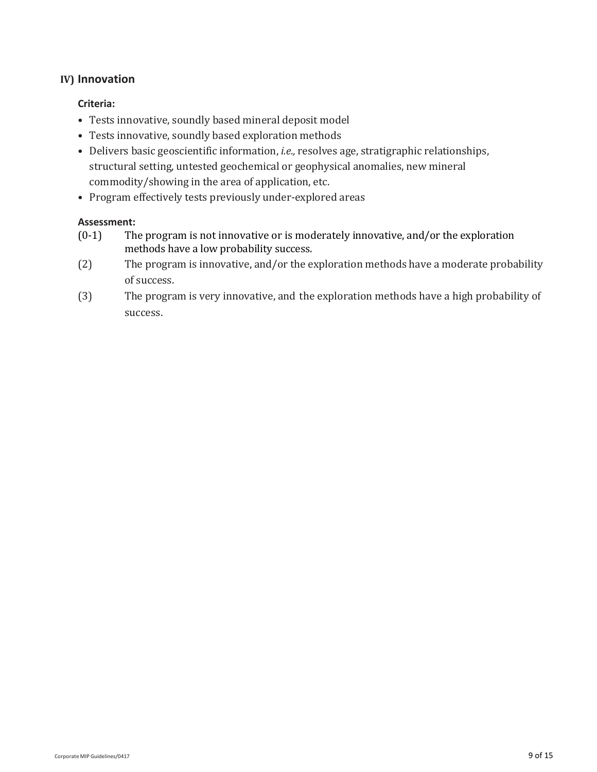#### **IV) Innovation**

#### **Criteria:**

- Tests innovative, soundly based mineral deposit model
- Tests innovative, soundly based exploration methods
- Delivers basic geoscientific information, *i.e.,* resolves age, stratigraphic relationships, structural setting, untested geochemical or geophysical anomalies, new mineral commodity/showing in the area of application, etc.
- Program effectively tests previously under-explored areas

- (0-1) The program is not innovative or is moderately innovative, and/or the exploration methods have a low probability success.
- (2) The program is innovative, and/or the exploration methods have a moderate probability of success.
- (3) The program is very innovative, and the exploration methods have a high probability of success.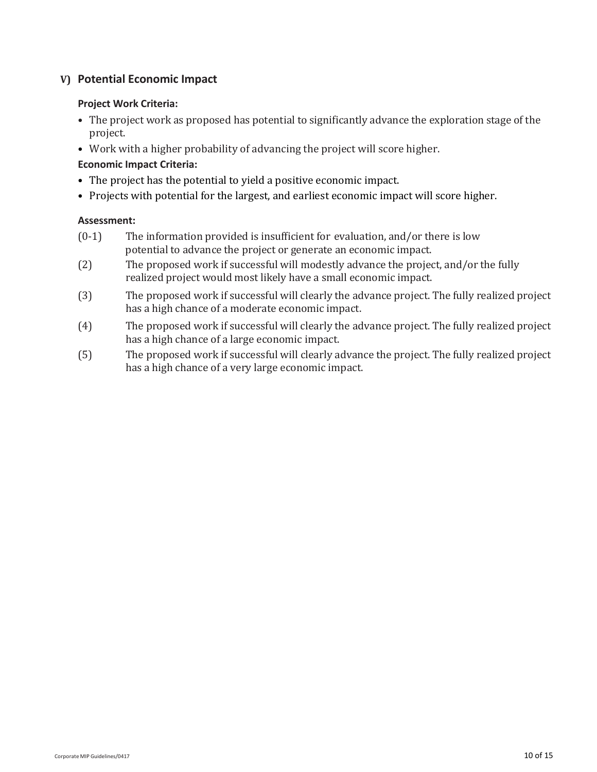### **V) Potential Economic Impact**

#### **Project Work Criteria:**

- The project work as proposed has potential to significantly advance the exploration stage of the project.
- Work with a higher probability of advancing the project will score higher.

#### **Economic Impact Criteria:**

- The project has the potential to yield a positive economic impact.
- Projects with potential for the largest, and earliest economic impact will score higher.

- (0-1) The information provided is insufficient for evaluation, and/or there is low potential to advance the project or generate an economic impact.
- (2) The proposed work if successful will modestly advance the project, and/or the fully realized project would most likely have a small economic impact.
- (3) The proposed work if successful will clearly the advance project. The fully realized project has a high chance of a moderate economic impact.
- (4) The proposed work if successful will clearly the advance project. The fully realized project has a high chance of a large economic impact.
- (5) The proposed work if successful will clearly advance the project. The fully realized project has a high chance of a very large economic impact.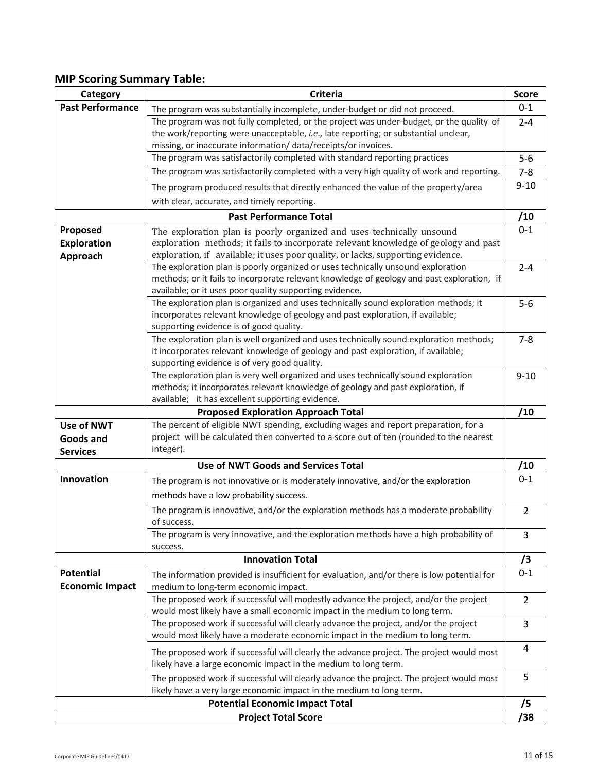### **MIP Scoring Summary Table:**

| Category                                     | <b>Criteria</b>                                                                                                                                                     | <b>Score</b>   |
|----------------------------------------------|---------------------------------------------------------------------------------------------------------------------------------------------------------------------|----------------|
| <b>Past Performance</b>                      | The program was substantially incomplete, under-budget or did not proceed.                                                                                          | $0 - 1$        |
|                                              | The program was not fully completed, or the project was under-budget, or the quality of                                                                             | $2 - 4$        |
|                                              | the work/reporting were unacceptable, i.e., late reporting; or substantial unclear,                                                                                 |                |
|                                              | missing, or inaccurate information/data/receipts/or invoices.                                                                                                       |                |
|                                              | The program was satisfactorily completed with standard reporting practices                                                                                          | $5-6$          |
|                                              | The program was satisfactorily completed with a very high quality of work and reporting.                                                                            | $7 - 8$        |
|                                              | The program produced results that directly enhanced the value of the property/area                                                                                  | $9 - 10$       |
|                                              | with clear, accurate, and timely reporting.                                                                                                                         |                |
| <b>Past Performance Total</b>                |                                                                                                                                                                     |                |
| Proposed                                     | The exploration plan is poorly organized and uses technically unsound                                                                                               | /10<br>$0 - 1$ |
| <b>Exploration</b>                           | exploration methods; it fails to incorporate relevant knowledge of geology and past                                                                                 |                |
| Approach                                     | exploration, if available; it uses poor quality, or lacks, supporting evidence.                                                                                     |                |
|                                              | The exploration plan is poorly organized or uses technically unsound exploration                                                                                    | $2 - 4$        |
|                                              | methods; or it fails to incorporate relevant knowledge of geology and past exploration, if                                                                          |                |
|                                              | available; or it uses poor quality supporting evidence.                                                                                                             |                |
|                                              | The exploration plan is organized and uses technically sound exploration methods; it                                                                                | $5-6$          |
|                                              | incorporates relevant knowledge of geology and past exploration, if available;                                                                                      |                |
|                                              | supporting evidence is of good quality.                                                                                                                             |                |
|                                              | The exploration plan is well organized and uses technically sound exploration methods;                                                                              | $7 - 8$        |
|                                              | it incorporates relevant knowledge of geology and past exploration, if available;                                                                                   |                |
|                                              | supporting evidence is of very good quality.                                                                                                                        |                |
|                                              | The exploration plan is very well organized and uses technically sound exploration                                                                                  | $9 - 10$       |
|                                              | methods; it incorporates relevant knowledge of geology and past exploration, if                                                                                     |                |
|                                              | available; it has excellent supporting evidence.                                                                                                                    | /10            |
| <b>Proposed Exploration Approach Total</b>   |                                                                                                                                                                     |                |
| Use of NWT                                   | The percent of eligible NWT spending, excluding wages and report preparation, for a                                                                                 |                |
| Goods and                                    | project will be calculated then converted to a score out of ten (rounded to the nearest<br>integer).                                                                |                |
| <b>Services</b>                              |                                                                                                                                                                     | /10            |
| <b>Use of NWT Goods and Services Total</b>   |                                                                                                                                                                     |                |
| Innovation                                   | The program is not innovative or is moderately innovative, and/or the exploration                                                                                   | $0 - 1$        |
|                                              | methods have a low probability success.                                                                                                                             |                |
|                                              | The program is innovative, and/or the exploration methods has a moderate probability                                                                                | $\overline{2}$ |
|                                              | of success.                                                                                                                                                         |                |
|                                              | The program is very innovative, and the exploration methods have a high probability of                                                                              | 3              |
|                                              | success.                                                                                                                                                            |                |
| <b>Innovation Total</b>                      |                                                                                                                                                                     | /3             |
| <b>Potential</b>                             | The information provided is insufficient for evaluation, and/or there is low potential for                                                                          | $0 - 1$        |
| <b>Economic Impact</b>                       | medium to long-term economic impact.                                                                                                                                |                |
|                                              | The proposed work if successful will modestly advance the project, and/or the project<br>would most likely have a small economic impact in the medium to long term. | $\overline{2}$ |
|                                              | The proposed work if successful will clearly advance the project, and/or the project                                                                                | 3              |
|                                              | would most likely have a moderate economic impact in the medium to long term.                                                                                       |                |
|                                              | The proposed work if successful will clearly the advance project. The project would most<br>likely have a large economic impact in the medium to long term.         | 4              |
|                                              | The proposed work if successful will clearly advance the project. The project would most                                                                            | 5              |
|                                              | likely have a very large economic impact in the medium to long term.                                                                                                |                |
| <b>Potential Economic Impact Total</b><br>/5 |                                                                                                                                                                     |                |
|                                              |                                                                                                                                                                     |                |
| <b>Project Total Score</b><br>/38            |                                                                                                                                                                     |                |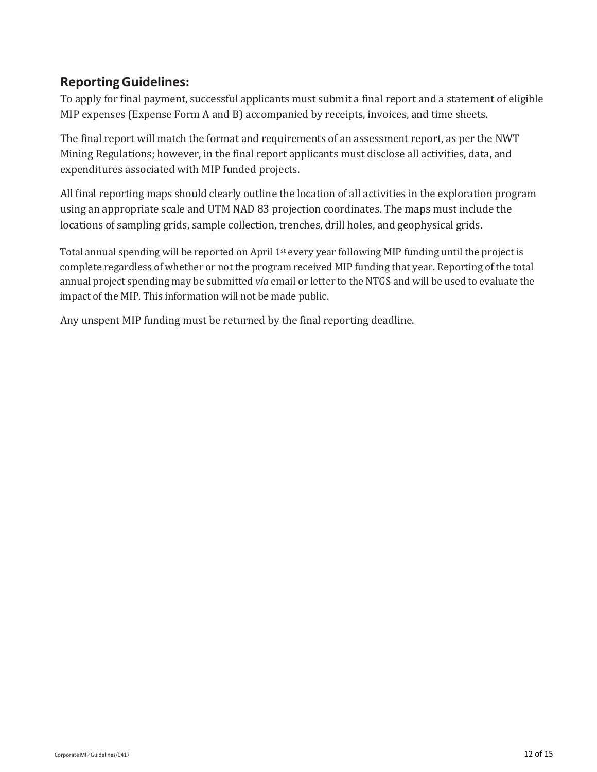# **ReportingGuidelines:**

To apply for final payment, successful applicants must submit a final report and a statement of eligible MIP expenses (Expense Form A and B) accompanied by receipts, invoices, and time sheets.

The final report will match the format and requirements of an assessment report, as per the NWT Mining Regulations; however, in the final report applicants must disclose all activities, data, and expenditures associated with MIP funded projects.

All final reporting maps should clearly outline the location of all activities in the exploration program using an appropriate scale and UTM NAD 83 projection coordinates. The maps must include the locations of sampling grids, sample collection, trenches, drill holes, and geophysical grids.

Total annual spending will be reported on April 1st every year following MIP funding until the project is complete regardless of whether or not the program received MIP funding that year. Reporting of the total annual project spending may be submitted *via* email or letter to the NTGS and will be used to evaluate the impact of the MIP. This information will not be made public.

Any unspent MIP funding must be returned by the final reporting deadline.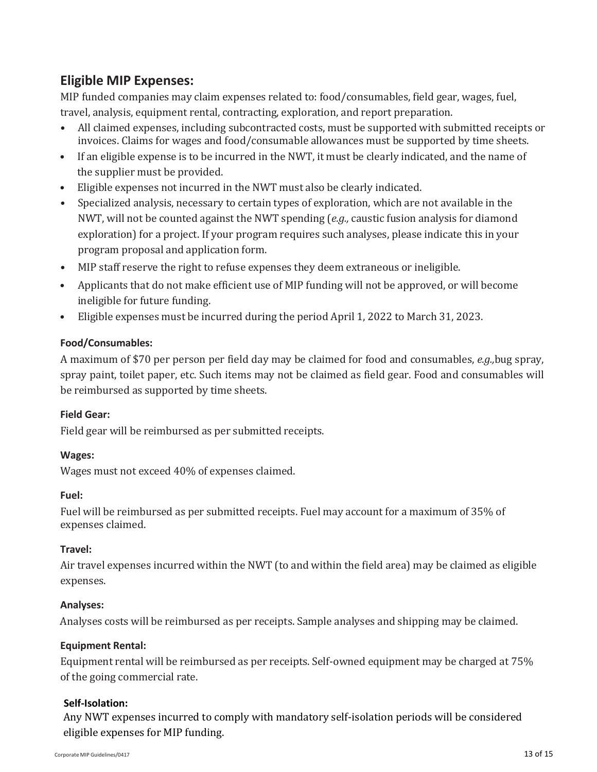# **Eligible MIP Expenses:**

MIP funded companies may claim expenses related to: food/consumables, field gear, wages, fuel, travel, analysis, equipment rental, contracting, exploration, and report preparation.

- All claimed expenses, including subcontracted costs, must be supported with submitted receipts or invoices. Claims for wages and food/consumable allowances must be supported by time sheets.
- If an eligible expense is to be incurred in the NWT, it must be clearly indicated, and the name of the supplier must be provided.
- Eligible expenses not incurred in the NWT must also be clearly indicated.
- Specialized analysis, necessary to certain types of exploration, which are not available in the NWT, will not be counted against the NWT spending (*e.g.,* caustic fusion analysis for diamond exploration) for a project. If your program requires such analyses, please indicate this in your program proposal and application form.
- MIP staff reserve the right to refuse expenses they deem extraneous or ineligible.
- Applicants that do not make efficient use of MIP funding will not be approved, or will become ineligible for future funding.
- Eligible expenses must be incurred during the period April 1, 2022 to March 31, 2023.

### **Food/Consumables:**

A maximum of \$70 per person per field day may be claimed for food and consumables, *e.g.,*bug spray, spray paint, toilet paper, etc. Such items may not be claimed as field gear. Food and consumables will be reimbursed as supported by time sheets.

#### **Field Gear:**

Field gear will be reimbursed as per submitted receipts.

#### **Wages:**

Wages must not exceed 40% of expenses claimed.

#### **Fuel:**

Fuel will be reimbursed as per submitted receipts. Fuel may account for a maximum of 35% of expenses claimed.

#### **Travel:**

Air travel expenses incurred within the NWT (to and within the field area) may be claimed as eligible expenses.

#### **Analyses:**

Analyses costs will be reimbursed as per receipts. Sample analyses and shipping may be claimed.

#### **Equipment Rental:**

Equipment rental will be reimbursed as per receipts. Self-owned equipment may be charged at 75% of the going commercial rate.

#### **Self‐Isolation:**

Any NWT expenses incurred to comply with mandatory self-isolation periods will be considered eligible expenses for MIP funding.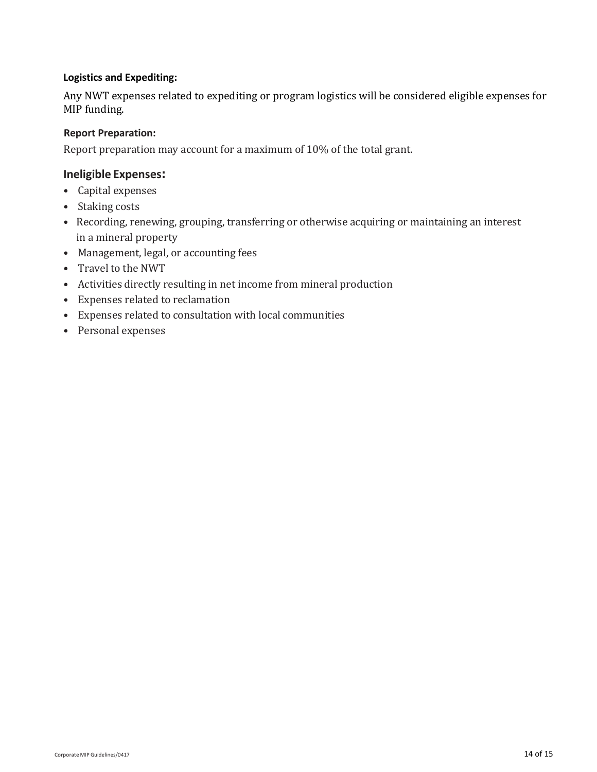#### **Logistics and Expediting:**

Any NWT expenses related to expediting or program logistics will be considered eligible expenses for MIP funding.

#### **Report Preparation:**

Report preparation may account for a maximum of 10% of the total grant.

#### **Ineligible Expenses:**

- Capital expenses
- Staking costs
- Recording, renewing, grouping, transferring or otherwise acquiring or maintaining an interest in a mineral property
- Management, legal, or accounting fees
- Travel to the NWT
- Activities directly resulting in net income from mineral production
- Expenses related to reclamation
- Expenses related to consultation with local communities
- Personal expenses